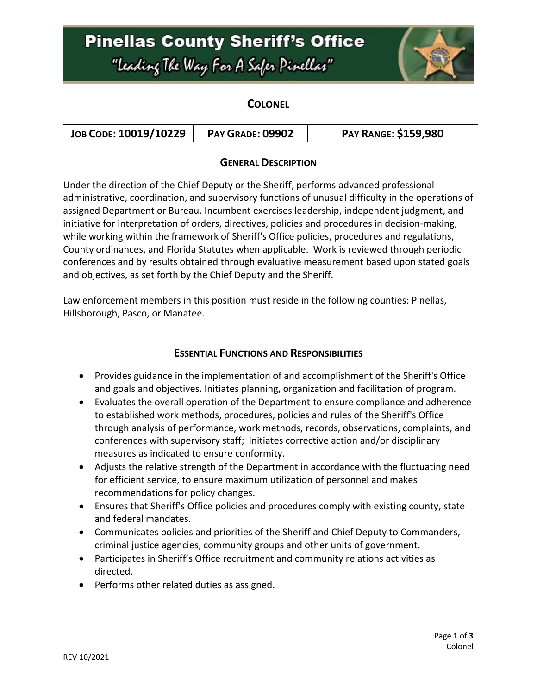## **Pinellas County Sheriff's Office** "Leading The Way For A Safer Pinellar"



### **COLONEL**

| JOB CODE: 10019/10229 | <b>PAY GRADE: 09902</b> | <b>PAY RANGE: \$159,980</b> |
|-----------------------|-------------------------|-----------------------------|
|-----------------------|-------------------------|-----------------------------|

#### **GENERAL DESCRIPTION**

Under the direction of the Chief Deputy or the Sheriff, performs advanced professional administrative, coordination, and supervisory functions of unusual difficulty in the operations of assigned Department or Bureau. Incumbent exercises leadership, independent judgment, and initiative for interpretation of orders, directives, policies and procedures in decision-making, while working within the framework of Sheriff's Office policies, procedures and regulations, County ordinances, and Florida Statutes when applicable. Work is reviewed through periodic conferences and by results obtained through evaluative measurement based upon stated goals and objectives, as set forth by the Chief Deputy and the Sheriff.

Law enforcement members in this position must reside in the following counties: Pinellas, Hillsborough, Pasco, or Manatee.

### **ESSENTIAL FUNCTIONS AND RESPONSIBILITIES**

- Provides guidance in the implementation of and accomplishment of the Sheriff's Office and goals and objectives. Initiates planning, organization and facilitation of program.
- Evaluates the overall operation of the Department to ensure compliance and adherence to established work methods, procedures, policies and rules of the Sheriff's Office through analysis of performance, work methods, records, observations, complaints, and conferences with supervisory staff; initiates corrective action and/or disciplinary measures as indicated to ensure conformity.
- Adjusts the relative strength of the Department in accordance with the fluctuating need for efficient service, to ensure maximum utilization of personnel and makes recommendations for policy changes.
- Ensures that Sheriff's Office policies and procedures comply with existing county, state and federal mandates.
- Communicates policies and priorities of the Sheriff and Chief Deputy to Commanders, criminal justice agencies, community groups and other units of government.
- Participates in Sheriff's Office recruitment and community relations activities as directed.
- Performs other related duties as assigned.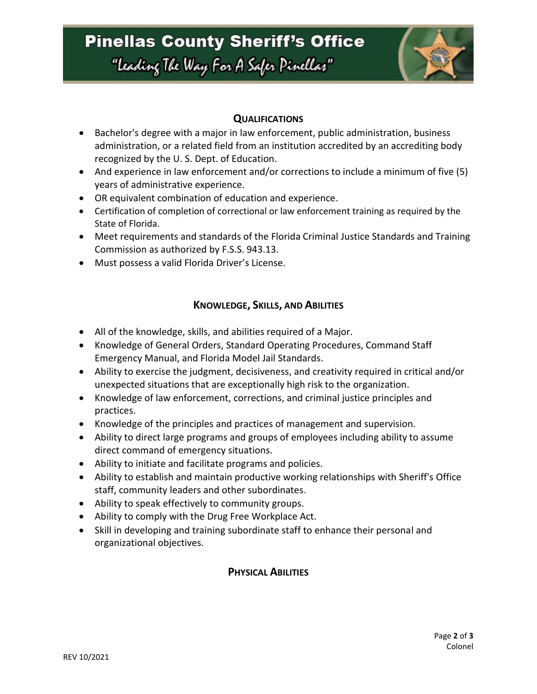### **Pinellas County Sheriff's Office**

# "Leading The Way For A Safer Pinellar"



### **QUALIFICATIONS**

- Bachelor's degree with a major in law enforcement, public administration, business administration, or a related field from an institution accredited by an accrediting body recognized by the U. S. Dept. of Education.
- And experience in law enforcement and/or corrections to include a minimum of five (5) years of administrative experience.
- OR equivalent combination of education and experience.
- Certification of completion of correctional or law enforcement training as required by the State of Florida.
- Meet requirements and standards of the Florida Criminal Justice Standards and Training Commission as authorized by F.S.S. 943.13.
- Must possess a valid Florida Driver's License.

### **KNOWLEDGE, SKILLS, AND ABILITIES**

- All of the knowledge, skills, and abilities required of a Major.
- Knowledge of General Orders, Standard Operating Procedures, Command Staff Emergency Manual, and Florida Model Jail Standards.
- Ability to exercise the judgment, decisiveness, and creativity required in critical and/or unexpected situations that are exceptionally high risk to the organization.
- Knowledge of law enforcement, corrections, and criminal justice principles and practices.
- Knowledge of the principles and practices of management and supervision.
- Ability to direct large programs and groups of employees including ability to assume direct command of emergency situations.
- Ability to initiate and facilitate programs and policies.
- Ability to establish and maintain productive working relationships with Sheriff's Office staff, community leaders and other subordinates.
- Ability to speak effectively to community groups.
- Ability to comply with the Drug Free Workplace Act.
- Skill in developing and training subordinate staff to enhance their personal and organizational objectives.

### **PHYSICAL ABILITIES**